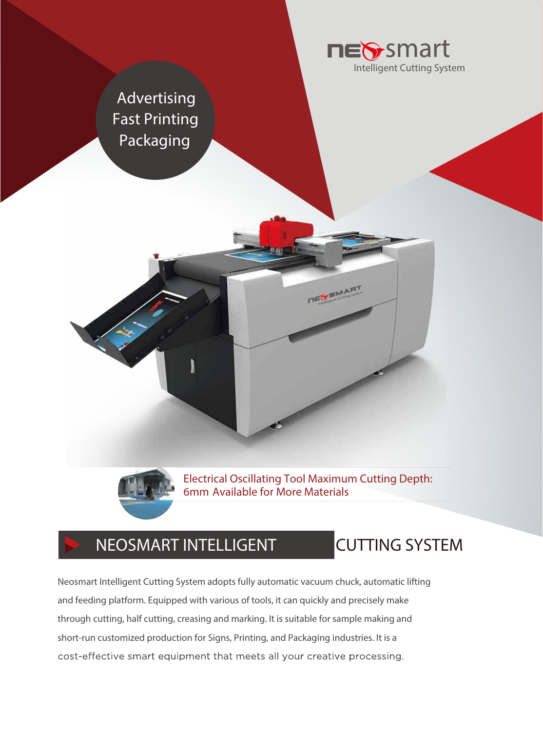

**Advertising Fast Printing Packaging**



Electrical Oscillating Tool Maximum Cutting Depth: 6mm Available for More Materials

Intelligent Cutting

## **NEOSMART INTELLIGENT CUTTING SYSTEM**

Neosmart Intelligent Cutting System adopts fully automatic vacuum chuck, automatic lifting and feeding platform. Equipped with various of tools, it can quickly and precisely make through cutting, half cutting, creasing and marking. It is suitable for sample making and short-run customized production for Signs, Printing, and Packaging industries. It is a cost-effective smart equipment that meets all your creative processing.